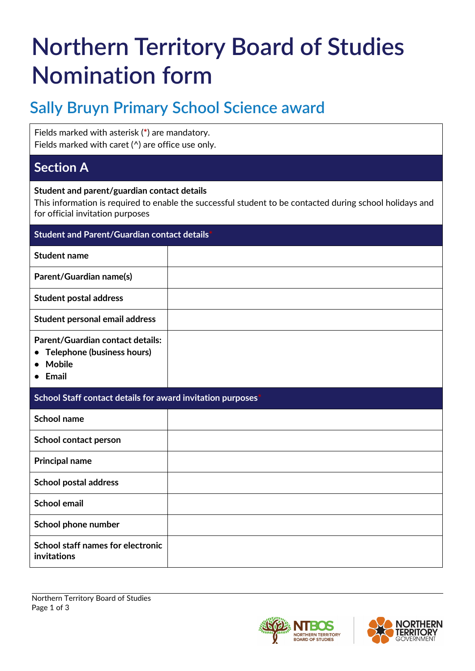# **Northern Territory Board of Studies Nomination form**

## **Sally Bruyn Primary School Science award**

Fields marked with asterisk (**\***) are mandatory. Fields marked with caret (^) are office use only.

## **Section A**

#### **Student and parent/guardian contact details**

This information is required to enable the successful student to be contacted during school holidays and for official invitation purposes

| <b>Student and Parent/Guardian contact details*</b>                               |  |
|-----------------------------------------------------------------------------------|--|
| <b>Student name</b>                                                               |  |
| Parent/Guardian name(s)                                                           |  |
| <b>Student postal address</b>                                                     |  |
| Student personal email address                                                    |  |
| Parent/Guardian contact details:<br>• Telephone (business hours)<br><b>Mobile</b> |  |

**• Email**

#### **School Staff contact details for award invitation purposes\***

| School name                                      |  |
|--------------------------------------------------|--|
| School contact person                            |  |
| <b>Principal name</b>                            |  |
| <b>School postal address</b>                     |  |
| <b>School email</b>                              |  |
| School phone number                              |  |
| School staff names for electronic<br>invitations |  |



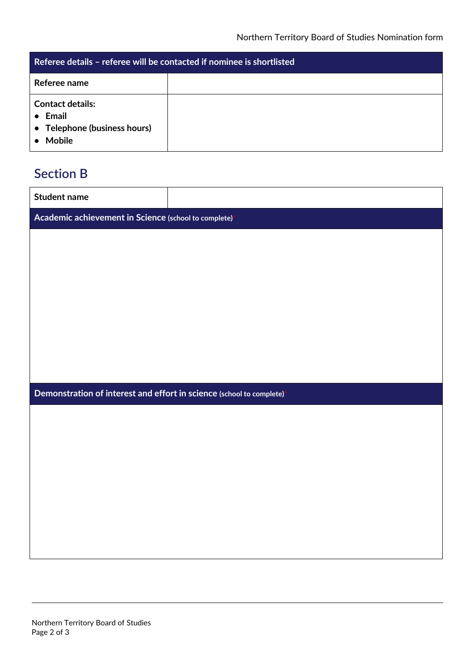| Referee details – referee will be contacted if nominee is shortlisted                       |  |
|---------------------------------------------------------------------------------------------|--|
| Referee name                                                                                |  |
| <b>Contact details:</b><br>$\bullet$ Email<br>• Telephone (business hours)<br><b>Mobile</b> |  |

## **Section B**

| <b>Student name</b>                                                  |  |
|----------------------------------------------------------------------|--|
| Academic achievement in Science (school to complete)                 |  |
|                                                                      |  |
|                                                                      |  |
|                                                                      |  |
|                                                                      |  |
|                                                                      |  |
|                                                                      |  |
|                                                                      |  |
|                                                                      |  |
| Demonstration of interest and effort in science (school to complete) |  |
|                                                                      |  |
|                                                                      |  |
|                                                                      |  |
|                                                                      |  |
|                                                                      |  |
|                                                                      |  |
|                                                                      |  |
|                                                                      |  |
|                                                                      |  |